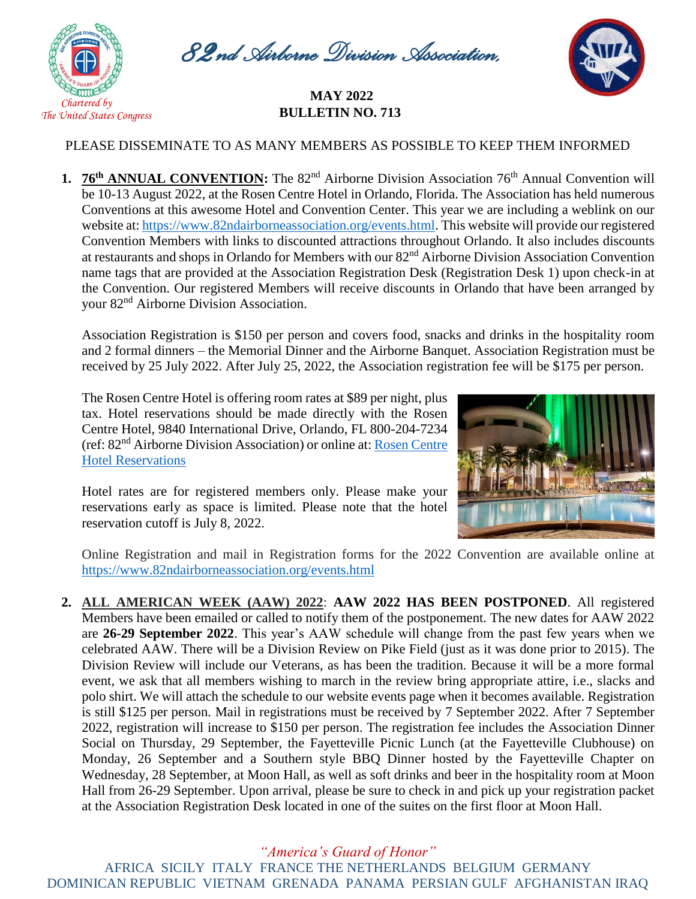

*82nd Airborne Division Association,* 

## *Inc* **MAY <sup>2022</sup> BULLETIN NO. 713**



## PLEASE DISSEMINATE TO AS MANY MEMBERS AS POSSIBLE TO KEEP THEM INFORMED

**1. 76<sup>th</sup> ANNUAL CONVENTION:** The 82<sup>nd</sup> Airborne Division Association 76<sup>th</sup> Annual Convention will be 10-13 August 2022, at the Rosen Centre Hotel in Orlando, Florida. The Association has held numerous Conventions at this awesome Hotel and Convention Center. This year we are including a weblink on our website at: [https://www.82ndairborneassociation.org/events.html.](https://www.82ndairborneassociation.org/events.html) This website will provide our registered Convention Members with links to discounted attractions throughout Orlando. It also includes discounts at restaurants and shops in Orlando for Members with our 82nd Airborne Division Association Convention name tags that are provided at the Association Registration Desk (Registration Desk 1) upon check-in at the Convention. Our registered Members will receive discounts in Orlando that have been arranged by your 82nd Airborne Division Association.

Association Registration is \$150 per person and covers food, snacks and drinks in the hospitality room and 2 formal dinners – the Memorial Dinner and the Airborne Banquet. Association Registration must be received by 25 July 2022. After July 25, 2022, the Association registration fee will be \$175 per person.

The Rosen Centre Hotel is offering room rates at \$89 per night, plus tax. Hotel reservations should be made directly with the Rosen Centre Hotel, 9840 International Drive, Orlando, FL 800-204-7234 (ref: 82nd Airborne Division Association) or online at: [Rosen Centre](file://///192.168.0.3/Public/07.%20Association%20Publications/National%20Bulletins/2021%20National%20Bulletin/12.%20Nov-Dec%202021%20National%20Bulletin/Rosen%20Centre%20Hotel%20Reservations)  [Hotel Reservations](file://///192.168.0.3/Public/07.%20Association%20Publications/National%20Bulletins/2021%20National%20Bulletin/12.%20Nov-Dec%202021%20National%20Bulletin/Rosen%20Centre%20Hotel%20Reservations)



Hotel rates are for registered members only. Please make your reservations early as space is limited. Please note that the hotel reservation cutoff is July 8, 2022.

Online Registration and mail in Registration forms for the 2022 Convention are available online at https://www.82ndairborneassociation.org/events.html

**2. ALL AMERICAN WEEK (AAW) 2022**: **AAW 2022 HAS BEEN POSTPONED**. All registered Members have been emailed or called to notify them of the postponement. The new dates for AAW 2022 are **26-29 September 2022**. This year's AAW schedule will change from the past few years when we celebrated AAW. There will be a Division Review on Pike Field (just as it was done prior to 2015). The Division Review will include our Veterans, as has been the tradition. Because it will be a more formal event, we ask that all members wishing to march in the review bring appropriate attire, i.e., slacks and polo shirt. We will attach the schedule to our website events page when it becomes available. Registration is still \$125 per person. Mail in registrations must be received by 7 September 2022. After 7 September 2022, registration will increase to \$150 per person. The registration fee includes the Association Dinner Social on Thursday, 29 September, the Fayetteville Picnic Lunch (at the Fayetteville Clubhouse) on Monday, 26 September and a Southern style BBQ Dinner hosted by the Fayetteville Chapter on Wednesday, 28 September, at Moon Hall, as well as soft drinks and beer in the hospitality room at Moon Hall from 26-29 September. Upon arrival, please be sure to check in and pick up your registration packet at the Association Registration Desk located in one of the suites on the first floor at Moon Hall.

*"America's Guard of Honor"* AFRICA SICILY ITALY FRANCE THE NETHERLANDS BELGIUM GERMANY DOMINICAN REPUBLIC VIETNAM GRENADA PANAMA PERSIAN GULF AFGHANISTAN IRAQ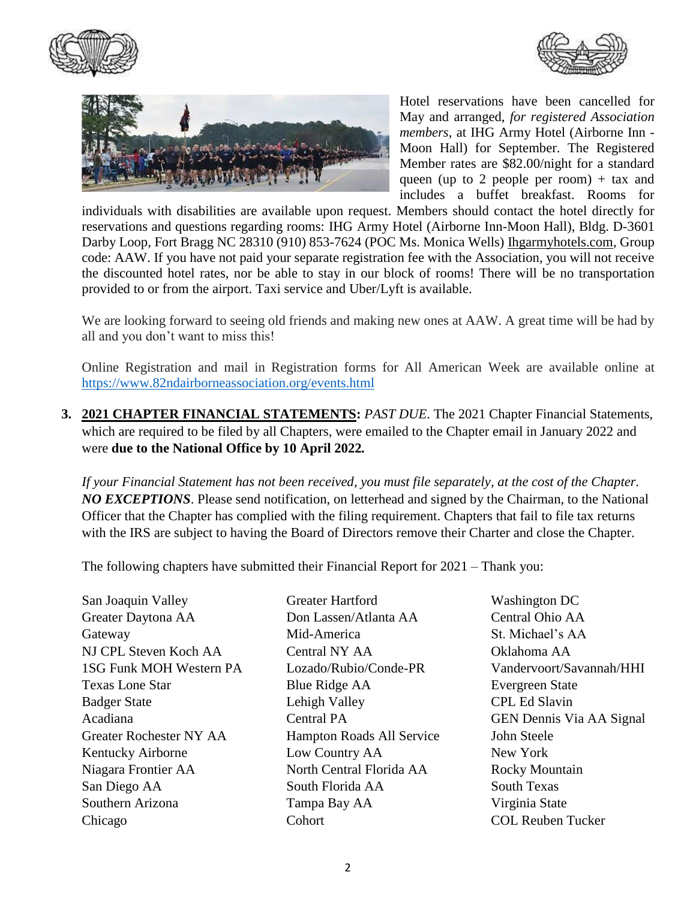





Hotel reservations have been cancelled for May and arranged, *for registered Association members*, at IHG Army Hotel (Airborne Inn - Moon Hall) for September. The Registered Member rates are \$82.00/night for a standard queen (up to 2 people per room)  $+$  tax and includes a buffet breakfast. Rooms for

individuals with disabilities are available upon request. Members should contact the hotel directly for reservations and questions regarding rooms: IHG Army Hotel (Airborne Inn-Moon Hall), Bldg. D-3601 Darby Loop, Fort Bragg NC 28310 (910) 853-7624 (POC Ms. Monica Wells) [Ihgarmyhotels.com,](http://www.ihgarmyhotels.com/) Group code: AAW. If you have not paid your separate registration fee with the Association, you will not receive the discounted hotel rates, nor be able to stay in our block of rooms! There will be no transportation provided to or from the airport. Taxi service and Uber/Lyft is available.

We are looking forward to seeing old friends and making new ones at AAW. A great time will be had by all and you don't want to miss this!

Online Registration and mail in Registration forms for All American Week are available online at <https://www.82ndairborneassociation.org/events.html>

**3. 2021 CHAPTER FINANCIAL STATEMENTS:** *PAST DUE*. The 2021 Chapter Financial Statements, which are required to be filed by all Chapters, were emailed to the Chapter email in January 2022 and were **due to the National Office by 10 April 2022***.*

*If your Financial Statement has not been received, you must file separately, at the cost of the Chapter. NO EXCEPTIONS*. Please send notification, on letterhead and signed by the Chairman, to the National Officer that the Chapter has complied with the filing requirement. Chapters that fail to file tax returns with the IRS are subject to having the Board of Directors remove their Charter and close the Chapter.

The following chapters have submitted their Financial Report for 2021 – Thank you:

San Joaquin Valley Greater Hartford Washington DC Greater Daytona AA Don Lassen/Atlanta AA Central Ohio AA Gateway Mid-America St. Michael's AA NJ CPL Steven Koch AA Central NY AA Oklahoma AA 1SG Funk MOH Western PA Lozado/Rubio/Conde-PR Vandervoort/Savannah/HHI Texas Lone Star Blue Ridge AA Evergreen State Badger State **Lehigh Valley** CPL Ed Slavin Acadiana Central PA GEN Dennis Via AA Signal Greater Rochester NY AA Hampton Roads All Service John Steele Kentucky Airborne Low Country AA New York Niagara Frontier AA North Central Florida AA Rocky Mountain San Diego AA South Florida AA South Texas Southern Arizona Tampa Bay AA Virginia State Chicago Cohort COL Reuben Tucker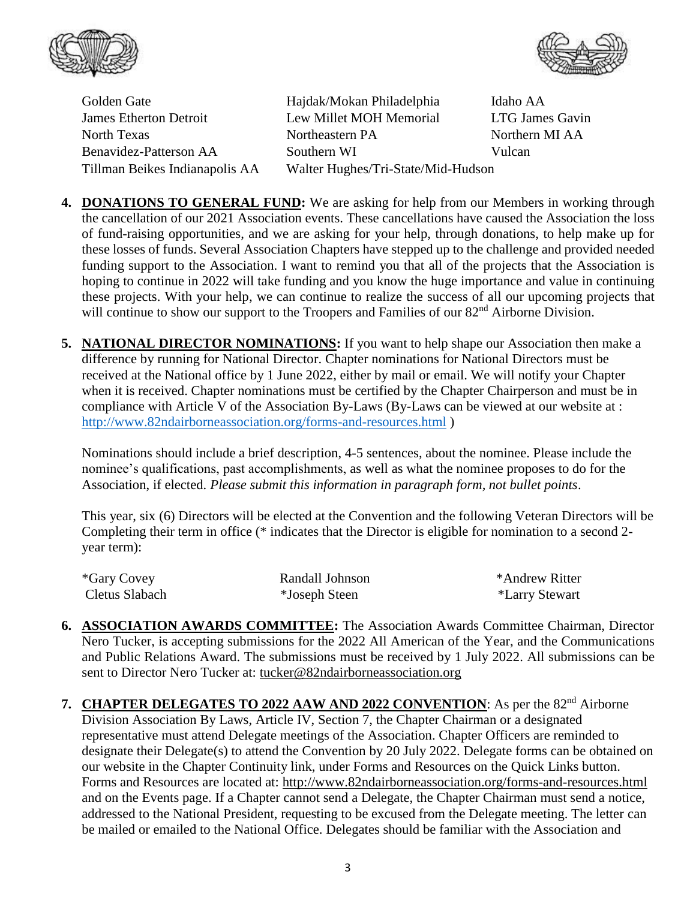



Golden Gate

Hajdak/Mokan Philadelphia Idaho AA James Etherton Detroit Lew Millet MOH Memorial LTG James Gavin North Texas Northeastern PA Northern MI AA Benavidez-Patterson AA Southern WI Vulcan Tillman Beikes Indianapolis AA Walter Hughes/Tri-State/Mid-Hudson

- **4. DONATIONS TO GENERAL FUND:** We are asking for help from our Members in working through the cancellation of our 2021 Association events. These cancellations have caused the Association the loss of fund-raising opportunities, and we are asking for your help, through donations, to help make up for these losses of funds. Several Association Chapters have stepped up to the challenge and provided needed funding support to the Association. I want to remind you that all of the projects that the Association is hoping to continue in 2022 will take funding and you know the huge importance and value in continuing these projects. With your help, we can continue to realize the success of all our upcoming projects that will continue to show our support to the Troopers and Families of our 82<sup>nd</sup> Airborne Division.
- **5. NATIONAL DIRECTOR NOMINATIONS:** If you want to help shape our Association then make a difference by running for National Director. Chapter nominations for National Directors must be received at the National office by 1 June 2022, either by mail or email. We will notify your Chapter when it is received. Chapter nominations must be certified by the Chapter Chairperson and must be in compliance with Article V of the Association By-Laws (By-Laws can be viewed at our website at : <http://www.82ndairborneassociation.org/forms-and-resources.html> )

Nominations should include a brief description, 4-5 sentences, about the nominee. Please include the nominee's qualifications, past accomplishments, as well as what the nominee proposes to do for the Association, if elected. *Please submit this information in paragraph form, not bullet points*.

This year, six (6) Directors will be elected at the Convention and the following Veteran Directors will be Completing their term in office (\* indicates that the Director is eligible for nomination to a second 2 year term):

| *Gary Covey    | Randall Johnson | *Andrew Ritter |
|----------------|-----------------|----------------|
| Cletus Slabach | *Joseph Steen   | *Larry Stewart |

- **6. ASSOCIATION AWARDS COMMITTEE:** The Association Awards Committee Chairman, Director Nero Tucker, is accepting submissions for the 2022 All American of the Year, and the Communications and Public Relations Award. The submissions must be received by 1 July 2022. All submissions can be sent to Director Nero Tucker at: [tucker@82ndairborneassociation.org](mailto:tucker@82ndairborneassociation.org)
- 7. **CHAPTER DELEGATES TO 2022 AAW AND 2022 CONVENTION:** As per the 82<sup>nd</sup> Airborne Division Association By Laws, Article IV, Section 7, the Chapter Chairman or a designated representative must attend Delegate meetings of the Association. Chapter Officers are reminded to designate their Delegate(s) to attend the Convention by 20 July 2022. Delegate forms can be obtained on our website in the Chapter Continuity link, under Forms and Resources on the Quick Links button. Forms and Resources are located at:<http://www.82ndairborneassociation.org/forms-and-resources.html> and on the Events page. If a Chapter cannot send a Delegate, the Chapter Chairman must send a notice, addressed to the National President, requesting to be excused from the Delegate meeting. The letter can be mailed or emailed to the National Office. Delegates should be familiar with the Association and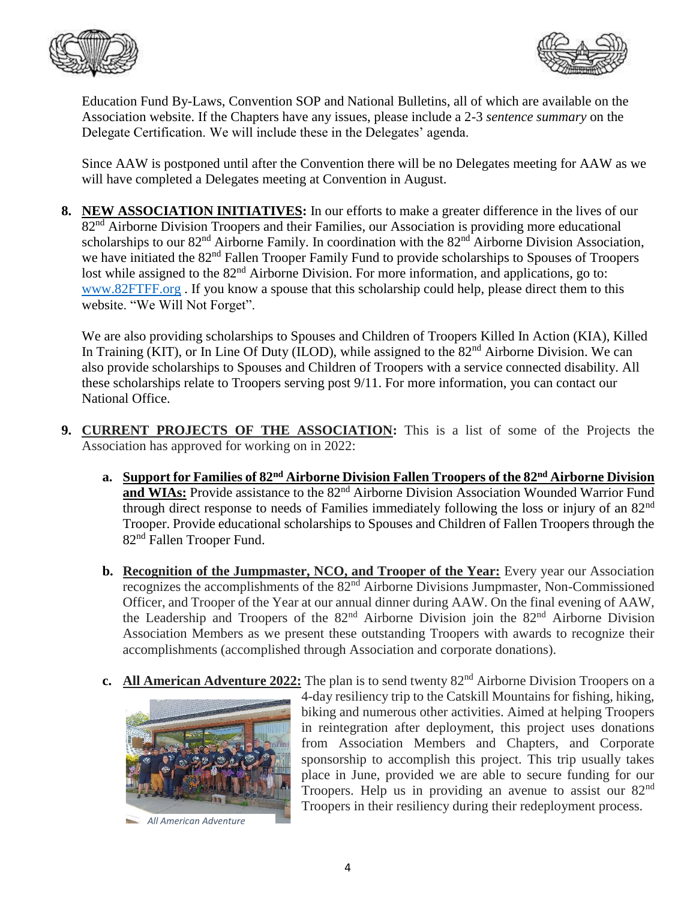



Education Fund By-Laws, Convention SOP and National Bulletins, all of which are available on the Association website. If the Chapters have any issues, please include a 2-3 *sentence summary* on the Delegate Certification. We will include these in the Delegates' agenda.

Since AAW is postponed until after the Convention there will be no Delegates meeting for AAW as we will have completed a Delegates meeting at Convention in August.

**8. NEW ASSOCIATION INITIATIVES:** In our efforts to make a greater difference in the lives of our 82<sup>nd</sup> Airborne Division Troopers and their Families, our Association is providing more educational scholarships to our 82<sup>nd</sup> Airborne Family. In coordination with the 82<sup>nd</sup> Airborne Division Association, we have initiated the 82<sup>nd</sup> Fallen Trooper Family Fund to provide scholarships to Spouses of Troopers lost while assigned to the 82<sup>nd</sup> Airborne Division. For more information, and applications, go to: [www.82FTFF.org](http://www.82ftff.org/) . If you know a spouse that this scholarship could help, please direct them to this website. "We Will Not Forget".

We are also providing scholarships to Spouses and Children of Troopers Killed In Action (KIA), Killed In Training (KIT), or In Line Of Duty (ILOD), while assigned to the 82<sup>nd</sup> Airborne Division. We can also provide scholarships to Spouses and Children of Troopers with a service connected disability. All these scholarships relate to Troopers serving post 9/11. For more information, you can contact our National Office.

- **9. CURRENT PROJECTS OF THE ASSOCIATION:** This is a list of some of the Projects the Association has approved for working on in 2022:
	- **a. Support for Families of 82nd Airborne Division Fallen Troopers of the 82nd Airborne Division**  and WIAs: Provide assistance to the 82<sup>nd</sup> Airborne Division Association Wounded Warrior Fund through direct response to needs of Families immediately following the loss or injury of an 82nd Trooper. Provide educational scholarships to Spouses and Children of Fallen Troopers through the 82nd Fallen Trooper Fund.
	- **b.** Recognition of the Jumpmaster, NCO, and Trooper of the Year: Every year our Association recognizes the accomplishments of the 82nd Airborne Divisions Jumpmaster, Non-Commissioned Officer, and Trooper of the Year at our annual dinner during AAW. On the final evening of AAW, the Leadership and Troopers of the 82<sup>nd</sup> Airborne Division join the 82<sup>nd</sup> Airborne Division Association Members as we present these outstanding Troopers with awards to recognize their accomplishments (accomplished through Association and corporate donations).
	- **c.** All American Adventure 2022: The plan is to send twenty 82<sup>nd</sup> Airborne Division Troopers on a



 *All American Adventure*

4-day resiliency trip to the Catskill Mountains for fishing, hiking, biking and numerous other activities. Aimed at helping Troopers in reintegration after deployment, this project uses donations from Association Members and Chapters, and Corporate sponsorship to accomplish this project. This trip usually takes place in June, provided we are able to secure funding for our Troopers. Help us in providing an avenue to assist our  $82<sup>nd</sup>$ Troopers in their resiliency during their redeployment process.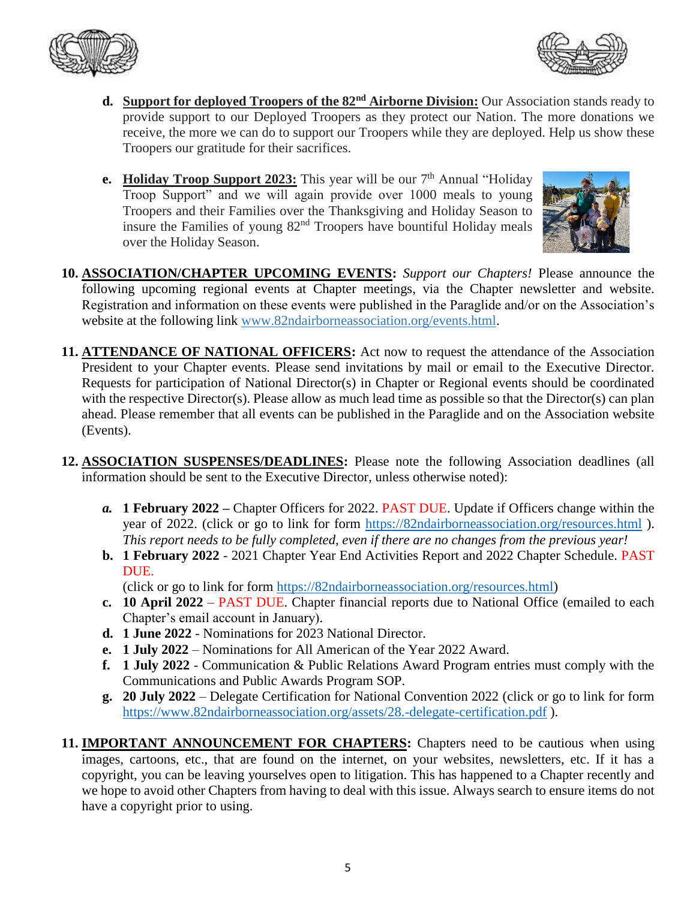



- **d. Support for deployed Troopers of the 82nd Airborne Division:** Our Association stands ready to provide support to our Deployed Troopers as they protect our Nation. The more donations we receive, the more we can do to support our Troopers while they are deployed. Help us show these Troopers our gratitude for their sacrifices.
- **e.** Holiday Troop Support 2023: This year will be our 7<sup>th</sup> Annual "Holiday Troop Support" and we will again provide over 1000 meals to young Troopers and their Families over the Thanksgiving and Holiday Season to insure the Families of young 82nd Troopers have bountiful Holiday meals over the Holiday Season.



- **10. ASSOCIATION/CHAPTER UPCOMING EVENTS:** *Support our Chapters!* Please announce the following upcoming regional events at Chapter meetings, via the Chapter newsletter and website. Registration and information on these events were published in the Paraglide and/or on the Association's website at the following link [www.82ndairborneassociation.org/events.html.](http://www.82ndairborneassociation.org/events.html)
- **11. ATTENDANCE OF NATIONAL OFFICERS:** Act now to request the attendance of the Association President to your Chapter events. Please send invitations by mail or email to the Executive Director. Requests for participation of National Director(s) in Chapter or Regional events should be coordinated with the respective Director(s). Please allow as much lead time as possible so that the Director(s) can plan ahead. Please remember that all events can be published in the Paraglide and on the Association website (Events).
- **12. ASSOCIATION SUSPENSES/DEADLINES:** Please note the following Association deadlines (all information should be sent to the Executive Director, unless otherwise noted):
	- *a.* **1 February 2022 –** Chapter Officers for 2022. PAST DUE. Update if Officers change within the year of 2022. (click or go to link for form <https://82ndairborneassociation.org/resources.html>). *This report needs to be fully completed, even if there are no changes from the previous year!*
	- **b. 1 February 2022** 2021 Chapter Year End Activities Report and 2022 Chapter Schedule. PAST DUE.

(click or go to link for form [https://82ndairborneassociation.org/resources.html\)](https://82ndairborneassociation.org/resources.html)

- **c. 10 April 2022** PAST DUE. Chapter financial reports due to National Office (emailed to each Chapter's email account in January).
- **d. 1 June 2022** Nominations for 2023 National Director.
- **e. 1 July 2022** Nominations for All American of the Year 2022 Award.
- **f. 1 July 2022** Communication & Public Relations Award Program entries must comply with the Communications and Public Awards Program SOP.
- **g. 20 July 2022** Delegate Certification for National Convention 2022 (click or go to link for form <https://www.82ndairborneassociation.org/assets/28.-delegate-certification.pdf> ).
- **11. IMPORTANT ANNOUNCEMENT FOR CHAPTERS:** Chapters need to be cautious when using images, cartoons, etc., that are found on the internet, on your websites, newsletters, etc. If it has a copyright, you can be leaving yourselves open to litigation. This has happened to a Chapter recently and we hope to avoid other Chapters from having to deal with this issue. Always search to ensure items do not have a copyright prior to using.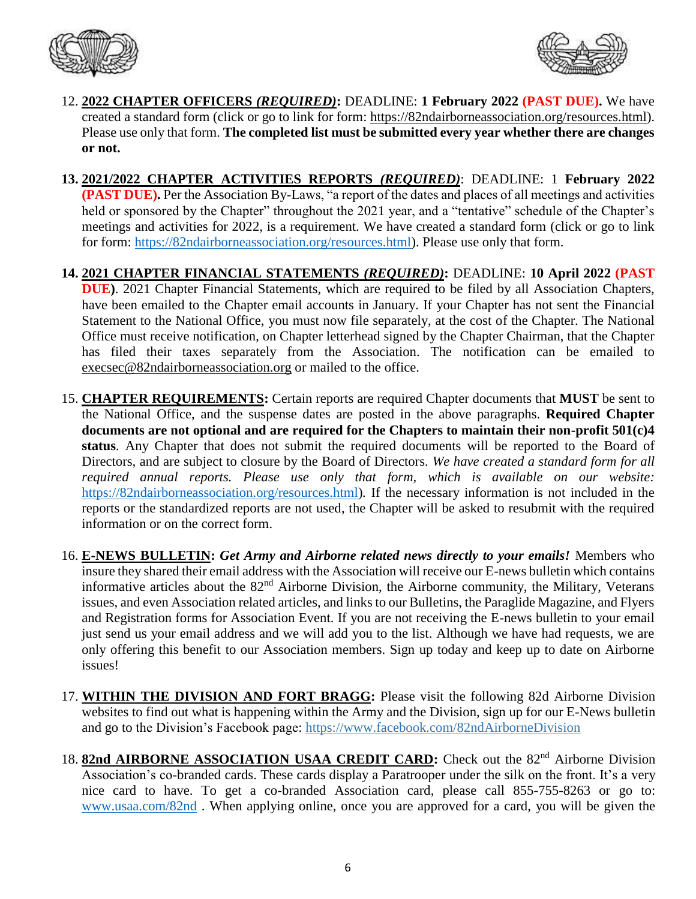



- 12. **2022 CHAPTER OFFICERS** *(REQUIRED)***:** DEADLINE: **1 February 2022 (PAST DUE).** We have created a standard form (click or go to link for form: [https://82ndairborneassociation.org/resources.html\)](https://82ndairborneassociation.org/resources.html). Please use only that form. **The completed list must be submitted every year whether there are changes or not.**
- **13. 2021/2022 CHAPTER ACTIVITIES REPORTS** *(REQUIRED)*: DEADLINE: 1 **February 2022 (PAST DUE).** Per the Association By-Laws, "a report of the dates and places of all meetings and activities held or sponsored by the Chapter" throughout the 2021 year, and a "tentative" schedule of the Chapter's meetings and activities for 2022, is a requirement. We have created a standard form (click or go to link for form: [https://82ndairborneassociation.org/resources.html\)](https://82ndairborneassociation.org/resources.html). Please use only that form.
- **14. 2021 CHAPTER FINANCIAL STATEMENTS** *(REQUIRED)***:** DEADLINE: **10 April 2022 (PAST DUE)**. 2021 Chapter Financial Statements, which are required to be filed by all Association Chapters, have been emailed to the Chapter email accounts in January. If your Chapter has not sent the Financial Statement to the National Office, you must now file separately, at the cost of the Chapter. The National Office must receive notification, on Chapter letterhead signed by the Chapter Chairman, that the Chapter has filed their taxes separately from the Association. The notification can be emailed to [execsec@82ndairborneassociation.org](mailto:execsec@82ndairborneassociation.org) or mailed to the office.
- 15. **CHAPTER REQUIREMENTS:** Certain reports are required Chapter documents that **MUST** be sent to the National Office, and the suspense dates are posted in the above paragraphs. **Required Chapter documents are not optional and are required for the Chapters to maintain their non-profit 501(c)4 status**. Any Chapter that does not submit the required documents will be reported to the Board of Directors, and are subject to closure by the Board of Directors. *We have created a standard form for all required annual reports. Please use only that form, which is available on our website:* [https://82ndairborneassociation.org/resources.html\)](https://82ndairborneassociation.org/resources.html)*.* If the necessary information is not included in the reports or the standardized reports are not used, the Chapter will be asked to resubmit with the required information or on the correct form.
- 16. **E-NEWS BULLETIN:** *Get Army and Airborne related news directly to your emails!* Members who insure they shared their email address with the Association will receive our E-news bulletin which contains informative articles about the 82nd Airborne Division, the Airborne community, the Military, Veterans issues, and even Association related articles, and links to our Bulletins, the Paraglide Magazine, and Flyers and Registration forms for Association Event. If you are not receiving the E-news bulletin to your email just send us your email address and we will add you to the list. Although we have had requests, we are only offering this benefit to our Association members. Sign up today and keep up to date on Airborne issues!
- 17. **WITHIN THE DIVISION AND FORT BRAGG:** Please visit the following 82d Airborne Division websites to find out what is happening within the Army and the Division, sign up for our E-News bulletin and go to the Division's Facebook page: <https://www.facebook.com/82ndAirborneDivision>
- 18. **82nd AIRBORNE ASSOCIATION USAA CREDIT CARD:** Check out the 82<sup>nd</sup> Airborne Division Association's co-branded cards. These cards display a Paratrooper under the silk on the front. It's a very nice card to have. To get a co-branded Association card, please call 855-755-8263 or go to: [www.usaa.com/82nd](http://www.usaa.com/82nd) . When applying online, once you are approved for a card, you will be given the